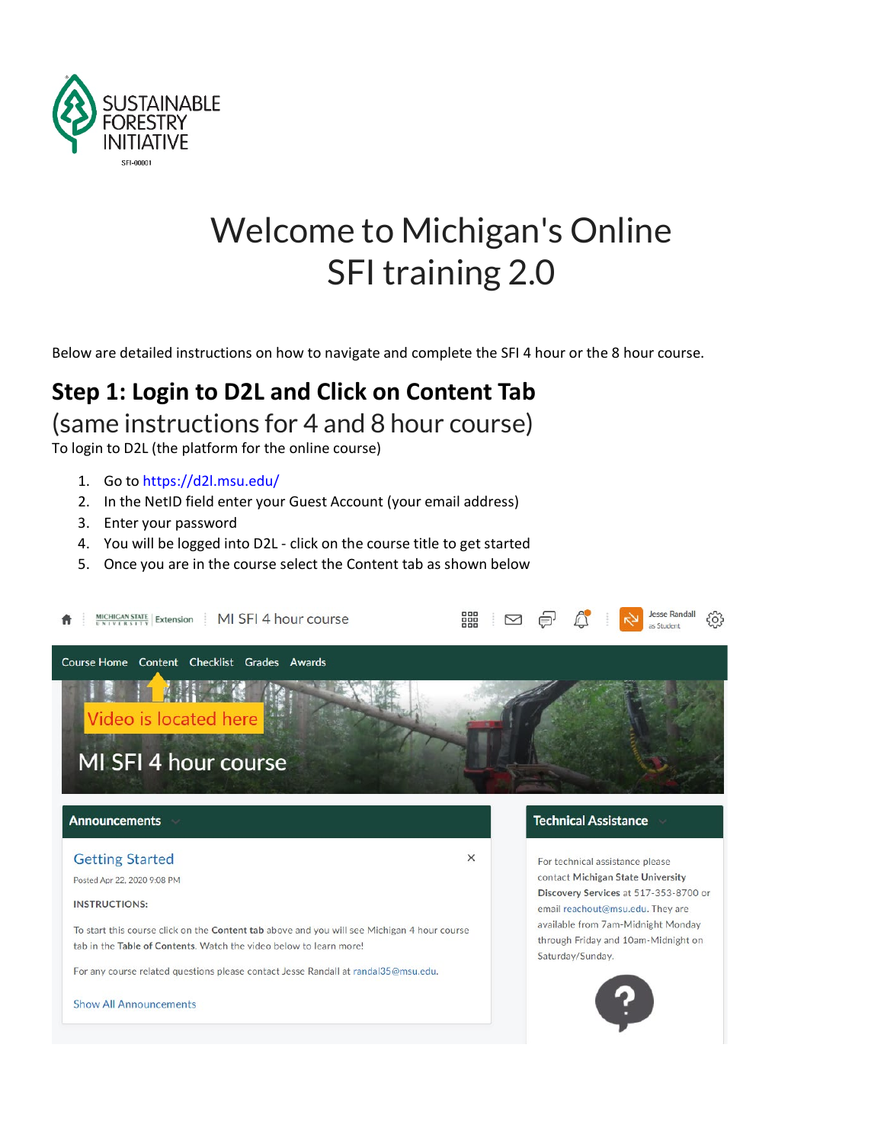

## Welcome to Michigan's Online SFI training 2.0

Below are detailed instructions on how to navigate and complete the SFI 4 hour or the 8 hour course.

# **Step 1: Login to D2L and Click on Content Tab**

(same instructions for 4 and 8 hour course)

To login to D2L (the platform for the online course)

- 1. Go to [https://d2l.msu.edu/](https://www.google.com/url?q=https%3A%2F%2Fd2l.msu.edu%2F&sa=D&sntz=1&usg=AFQjCNHCArHO2ihr2k9FpIs-vtw5TbTIgQ)
- 2. In the NetID field enter your Guest Account (your email address)
- 3. Enter your password
- 4. You will be logged into D2L click on the course title to get started
- 5. Once you are in the course select the Content tab as shown below



Posted Apr 22, 2020 9:08 PM

**INSTRUCTIONS:** 

To start this course click on the Content tab above and you will see Michigan 4 hour course tab in the Table of Contents. Watch the video below to learn more!

For any course related questions please contact Jesse Randall at randal35@msu.edu.

**Show All Announcements** 

contact Michigan State University Discovery Services at 517-353-8700 or email reachout@msu.edu. They are available from 7am-Midnight Monday through Friday and 10am-Midnight on Saturday/Sunday.

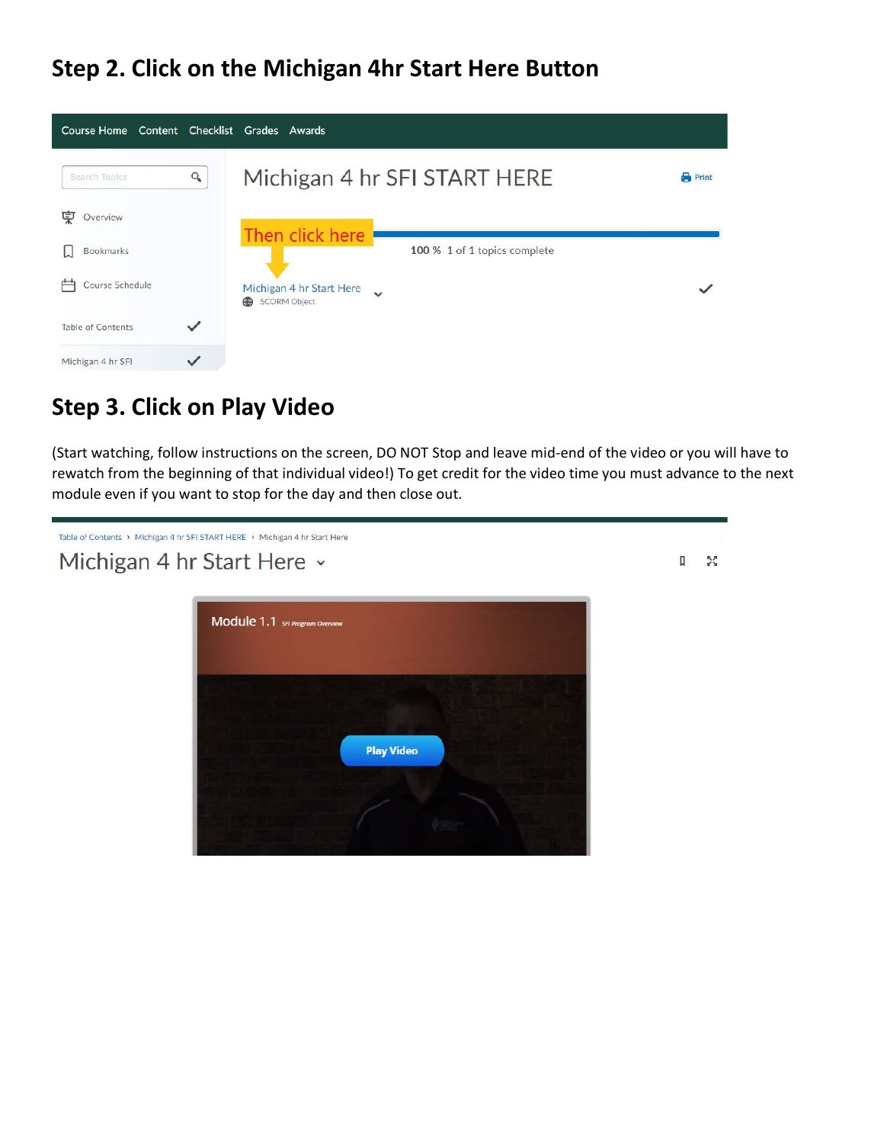### **Step 2. Click on the Michigan 4hr Start Here Button**



### **Step 3. Click on Play Video**

(Start watching, follow instructions on the screen, DO NOT Stop and leave mid-end of the video or you will have to rewatch from the beginning of that individual video!) To get credit for the video time you must advance to the next module even if you want to stop for the day and then close out.

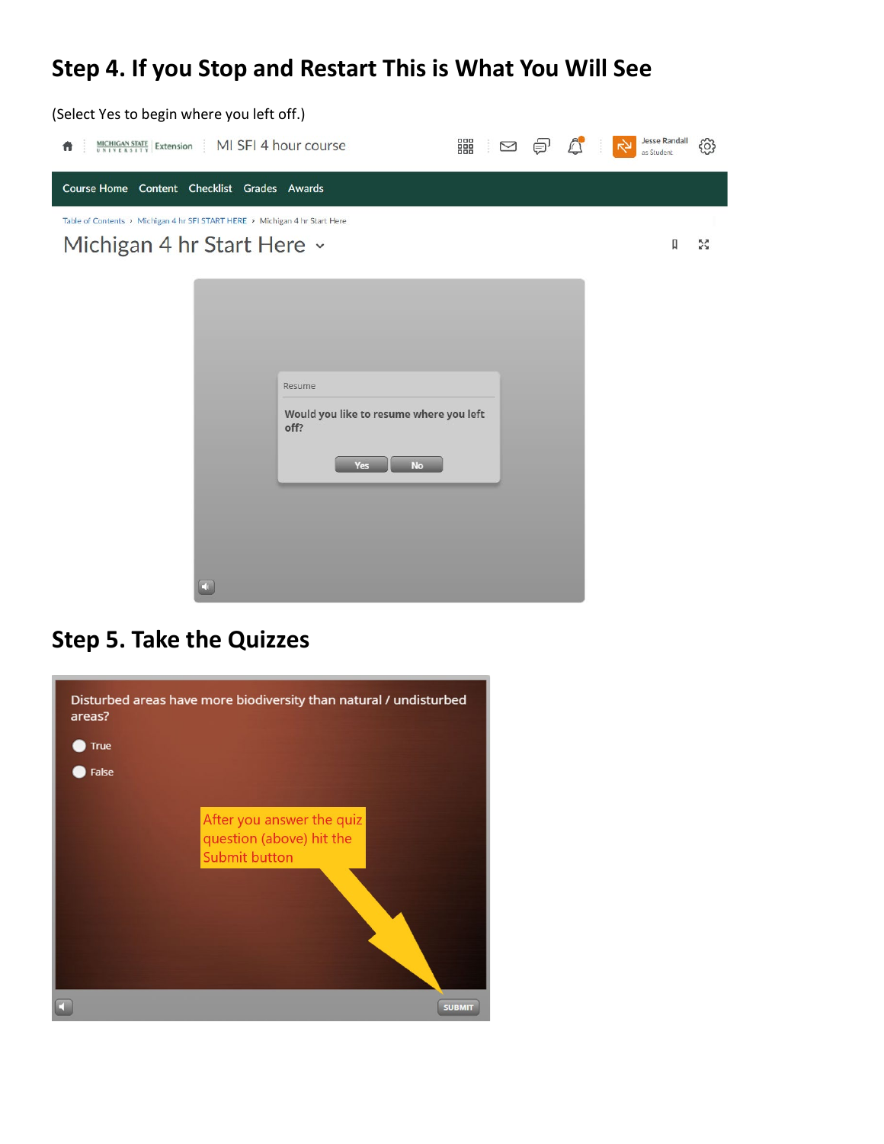### **Step 4. If you Stop and Restart This is What You Will See**



#### **Step 5. Take the Quizzes**

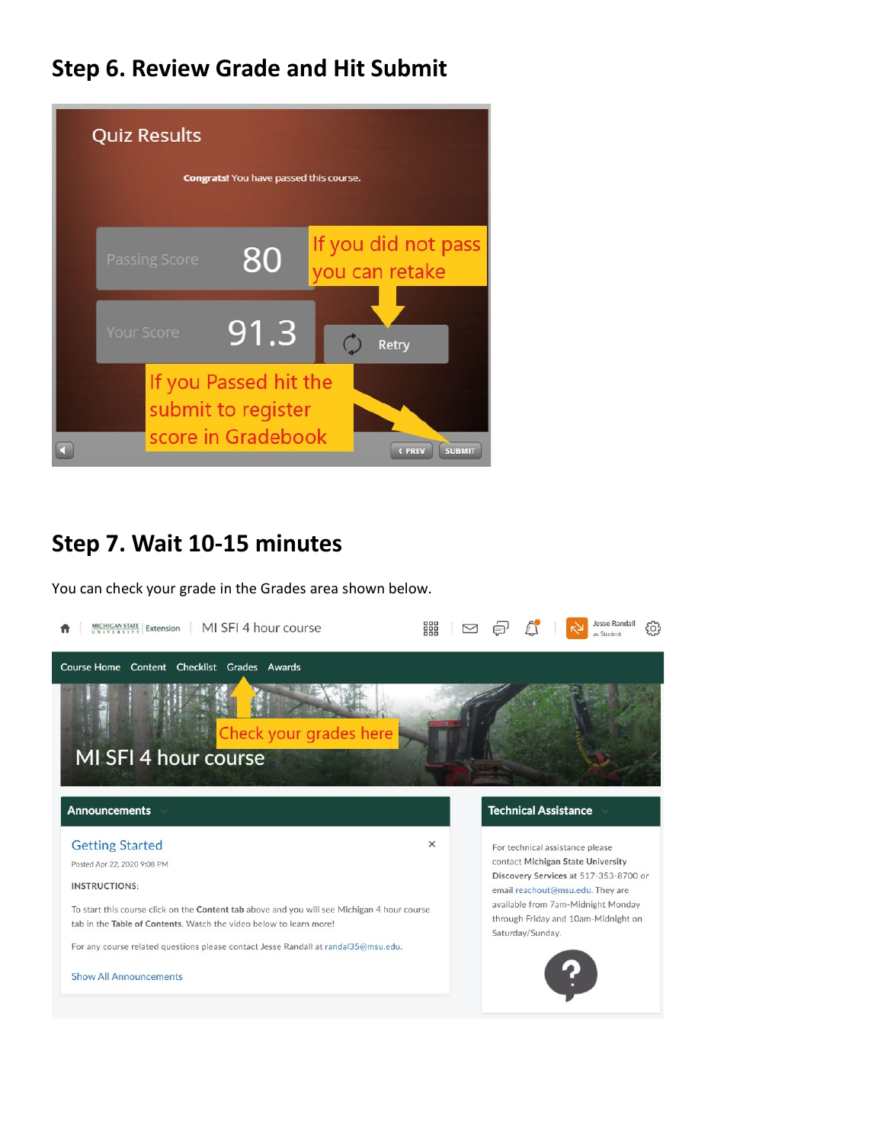#### **Step 6. Review Grade and Hit Submit**



#### **Step 7. Wait 10-15 minutes**

You can check your grade in the Grades area shown below.